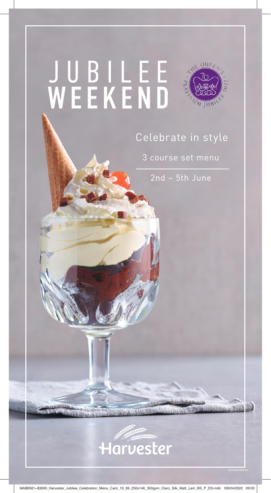# JUBILEE WEEKEND

# Celebrate in style

3 course set menu

2nd – 5th June